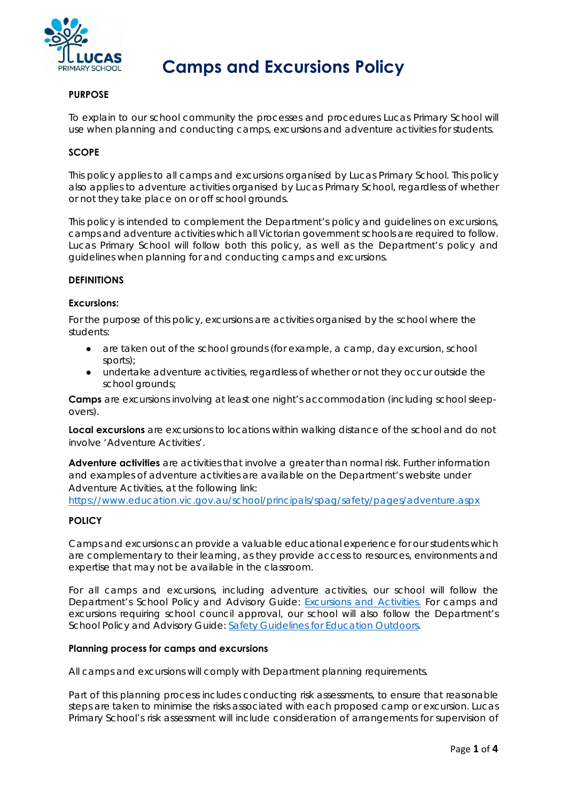

# **Camps and Excursions Policy**

# **PURPOSE**

To explain to our school community the processes and procedures Lucas Primary School will use when planning and conducting camps, excursions and adventure activities for students.

# **SCOPE**

This policy applies to all camps and excursions organised by Lucas Primary School. This policy also applies to adventure activities organised by Lucas Primary School, regardless of whether or not they take place on or off school grounds.

This policy is intended to complement the Department's policy and guidelines on excursions, camps and adventure activities which all Victorian government schools are required to follow. Lucas Primary School will follow both this policy, as well as the Department's policy and guidelines when planning for and conducting camps and excursions.

#### **DEFINITIONS**

#### **Excursions:**

For the purpose of this policy, excursions are activities organised by the school where the students:

- are taken out of the school grounds (for example, a camp, day excursion, school sports);
- undertake adventure activities, regardless of whether or not they occur outside the school grounds;

**Camps** are excursions involving at least one night's accommodation (including school sleepovers).

**Local excursions** are excursions to locations within walking distance of the school and do not involve 'Adventure Activities'.

**Adventure activities** are activities that involve a greater than normal risk. Further information and examples of adventure activities are available on the Department's website under Adventure Activities, at the following link:

https://www.education.vic.gov.au/school/principals/spag/safety/pages/adventure.aspx

# **POLICY**

Camps and excursions can provide a valuable educational experience for our students which are complementary to their learning, as they provide access to resources, environments and expertise that may not be available in the classroom.

For all camps and excursions, including adventure activities, our school will follow the Department's School Policy and Advisory Guide: Excursions and Activities. For camps and excursions requiring school council approval, our school will also follow the Department's School Policy and Advisory Guide: Safety Guidelines for Education Outdoors.

#### **Planning process for camps and excursions**

All camps and excursions will comply with Department planning requirements.

Part of this planning process includes conducting risk assessments, to ensure that reasonable steps are taken to minimise the risks associated with each proposed camp or excursion. Lucas Primary School's risk assessment will include consideration of arrangements for supervision of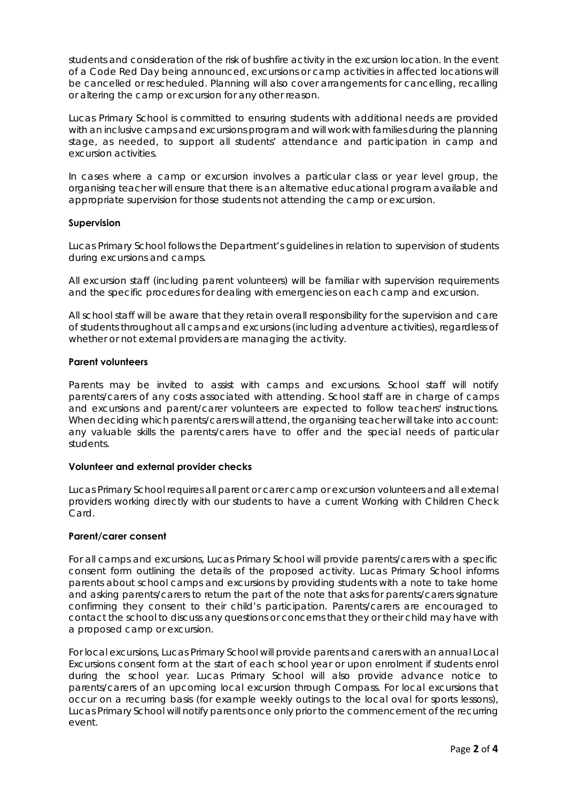students and consideration of the risk of bushfire activity in the excursion location. In the event of a Code Red Day being announced, excursions or camp activities in affected locations will be cancelled or rescheduled. Planning will also cover arrangements for cancelling, recalling or altering the camp or excursion for any other reason.

Lucas Primary School is committed to ensuring students with additional needs are provided with an inclusive camps and excursions program and will work with families during the planning stage, as needed, to support all students' attendance and participation in camp and excursion activities.

In cases where a camp or excursion involves a particular class or year level group, the organising teacher will ensure that there is an alternative educational program available and appropriate supervision for those students not attending the camp or excursion.

# **Supervision**

Lucas Primary School follows the Department's guidelines in relation to supervision of students during excursions and camps.

All excursion staff (including parent volunteers) will be familiar with supervision requirements and the specific procedures for dealing with emergencies on each camp and excursion.

All school staff will be aware that they retain overall responsibility for the supervision and care of students throughout all camps and excursions (including adventure activities), regardless of whether or not external providers are managing the activity.

# **Parent volunteers**

Parents may be invited to assist with camps and excursions. School staff will notify parents/carers of any costs associated with attending. School staff are in charge of camps and excursions and parent/carer volunteers are expected to follow teachers' instructions. When deciding which parents/carers will attend, the organising teacher will take into account: any valuable skills the parents/carers have to offer and the special needs of particular students.

# **Volunteer and external provider checks**

Lucas Primary School requires all parent or carer camp or excursion volunteers and all external providers working directly with our students to have a current Working with Children Check Card.

# **Parent/carer consent**

For all camps and excursions, Lucas Primary School will provide parents/carers with a specific consent form outlining the details of the proposed activity. Lucas Primary School informs parents about school camps and excursions by providing students with a note to take home and asking parents/carers to return the part of the note that asks for parents/carers signature confirming they consent to their child's participation. Parents/carers are encouraged to contact the school to discuss any questions or concerns that they or their child may have with a proposed camp or excursion.

For local excursions, Lucas Primary School will provide parents and carers with an annual Local Excursions consent form at the start of each school year or upon enrolment if students enrol during the school year. Lucas Primary School will also provide advance notice to parents/carers of an upcoming local excursion through Compass. For local excursions that occur on a recurring basis (for example weekly outings to the local oval for sports lessons), Lucas Primary School will notify parents once only prior to the commencement of the recurring event.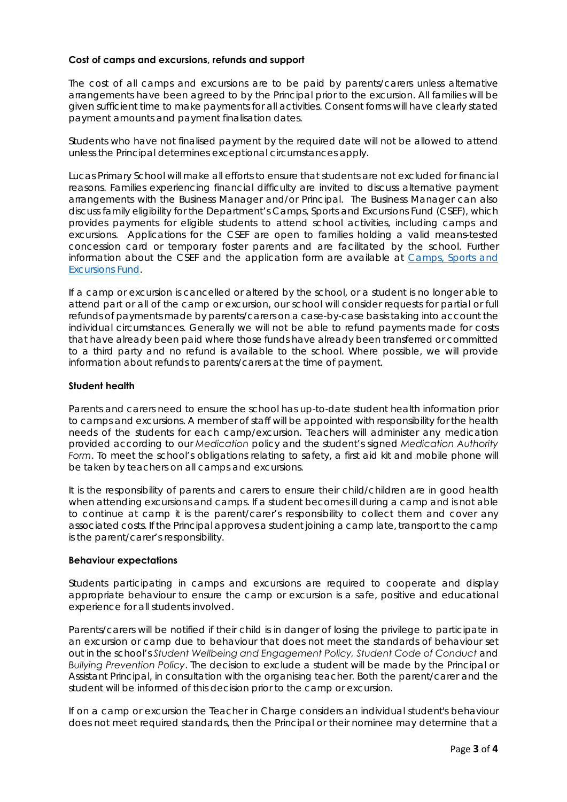# **Cost of camps and excursions, refunds and support**

The cost of all camps and excursions are to be paid by parents/carers unless alternative arrangements have been agreed to by the Principal prior to the excursion. All families will be given sufficient time to make payments for all activities. Consent forms will have clearly stated payment amounts and payment finalisation dates.

Students who have not finalised payment by the required date will not be allowed to attend unless the Principal determines exceptional circumstances apply.

Lucas Primary School will make all efforts to ensure that students are not excluded for financial reasons. Families experiencing financial difficulty are invited to discuss alternative payment arrangements with the Business Manager and/or Principal. The Business Manager can also discuss family eligibility for the Department's Camps, Sports and Excursions Fund (CSEF), which provides payments for eligible students to attend school activities, including camps and excursions. Applications for the CSEF are open to families holding a valid means-tested concession card or temporary foster parents and are facilitated by the school. Further information about the CSEF and the application form are available at Camps, Sports and Excursions Fund.

If a camp or excursion is cancelled or altered by the school, or a student is no longer able to attend part or all of the camp or excursion, our school will consider requests for partial or full refunds of payments made by parents/carers on a case-by-case basis taking into account the individual circumstances. Generally we will not be able to refund payments made for costs that have already been paid where those funds have already been transferred or committed to a third party and no refund is available to the school. Where possible, we will provide information about refunds to parents/carers at the time of payment.

# **Student health**

Parents and carers need to ensure the school has up-to-date student health information prior to camps and excursions. A member of staff will be appointed with responsibility for the health needs of the students for each camp/excursion. Teachers will administer any medication provided according to our *Medication* policy and the student's signed *Medication Authority Form*. To meet the school's obligations relating to safety, a first aid kit and mobile phone will be taken by teachers on all camps and excursions.

It is the responsibility of parents and carers to ensure their child/children are in good health when attending excursions and camps. If a student becomes ill during a camp and is not able to continue at camp it is the parent/carer's responsibility to collect them and cover any associated costs. If the Principal approves a student joining a camp late, transport to the camp is the parent/carer's responsibility.

# **Behaviour expectations**

Students participating in camps and excursions are required to cooperate and display appropriate behaviour to ensure the camp or excursion is a safe, positive and educational experience for all students involved.

Parents/carers will be notified if their child is in danger of losing the privilege to participate in an excursion or camp due to behaviour that does not meet the standards of behaviour set out in the school's *Student Wellbeing and Engagement Policy, Student Code of Conduct* and *Bullying Prevention Policy*. The decision to exclude a student will be made by the Principal or Assistant Principal, in consultation with the organising teacher. Both the parent/carer and the student will be informed of this decision prior to the camp or excursion.

If on a camp or excursion the Teacher in Charge considers an individual student's behaviour does not meet required standards, then the Principal or their nominee may determine that a